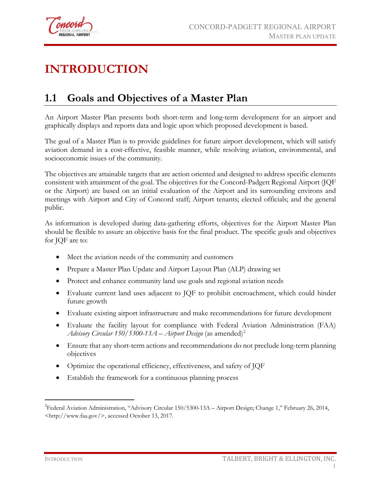

# **INTRODUCTION**

### **1.1 Goals and Objectives of a Master Plan**

An Airport Master Plan presents both short-term and long-term development for an airport and graphically displays and reports data and logic upon which proposed development is based.

The goal of a Master Plan is to provide guidelines for future airport development, which will satisfy aviation demand in a cost-effective, feasible manner, while resolving aviation, environmental, and socioeconomic issues of the community.

The objectives are attainable targets that are action oriented and designed to address specific elements consistent with attainment of the goal. The objectives for the Concord-Padgett Regional Airport (JQF or the Airport) are based on an initial evaluation of the Airport and its surrounding environs and meetings with Airport and City of Concord staff; Airport tenants; elected officials; and the general public.

As information is developed during data-gathering efforts, objectives for the Airport Master Plan should be flexible to assure an objective basis for the final product. The specific goals and objectives for JQF are to:

- Meet the aviation needs of the community and customers
- Prepare a Master Plan Update and Airport Layout Plan (ALP) drawing set
- Protect and enhance community land use goals and regional aviation needs
- Evaluate current land uses adjacent to JQF to prohibit encroachment, which could hinder future growth
- Evaluate existing airport infrastructure and make recommendations for future development
- Evaluate the facility layout for compliance with Federal Aviation Administration (FAA) *Advisory Circular* 150/5300-13 $A$  – *Airport Design* (as amended)<sup>[2](#page-0-0)</sup>
- Ensure that any short-term actions and recommendations do not preclude long-term planning objectives
- Optimize the operational efficiency, effectiveness, and safety of JQF
- Establish the framework for a continuous planning process

 $\overline{a}$ 

<span id="page-0-0"></span><sup>&</sup>lt;sup>2</sup> Federal Aviation Administration, "Advisory Circular 150/5300-13A - Airport Design; Change 1," February 26, 2014, <http://www.faa.gov/>, accessed October 13, 2017.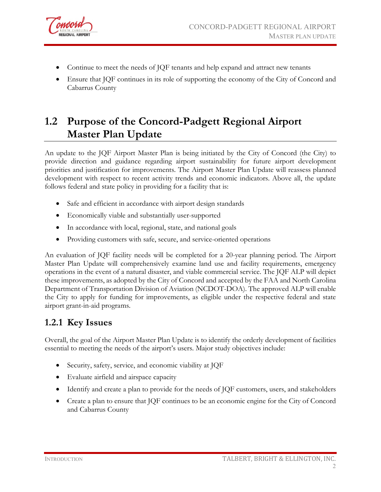

- Continue to meet the needs of JQF tenants and help expand and attract new tenants
- Ensure that JQF continues in its role of supporting the economy of the City of Concord and Cabarrus County

## **1.2 Purpose of the Concord-Padgett Regional Airport Master Plan Update**

An update to the JQF Airport Master Plan is being initiated by the City of Concord (the City) to provide direction and guidance regarding airport sustainability for future airport development priorities and justification for improvements. The Airport Master Plan Update will reassess planned development with respect to recent activity trends and economic indicators. Above all, the update follows federal and state policy in providing for a facility that is:

- Safe and efficient in accordance with airport design standards
- Economically viable and substantially user-supported
- In accordance with local, regional, state, and national goals
- Providing customers with safe, secure, and service-oriented operations

An evaluation of JQF facility needs will be completed for a 20-year planning period. The Airport Master Plan Update will comprehensively examine land use and facility requirements, emergency operations in the event of a natural disaster, and viable commercial service. The JQF ALP will depict these improvements, as adopted by the City of Concord and accepted by the FAA and North Carolina Department of Transportation Division of Aviation (NCDOT-DOA). The approved ALP will enable the City to apply for funding for improvements, as eligible under the respective federal and state airport grant-in-aid programs.

#### **1.2.1 Key Issues**

Overall, the goal of the Airport Master Plan Update is to identify the orderly development of facilities essential to meeting the needs of the airport's users. Major study objectives include:

- Security, safety, service, and economic viability at JQF
- Evaluate airfield and airspace capacity
- Identify and create a plan to provide for the needs of JQF customers, users, and stakeholders
- Create a plan to ensure that JQF continues to be an economic engine for the City of Concord and Cabarrus County